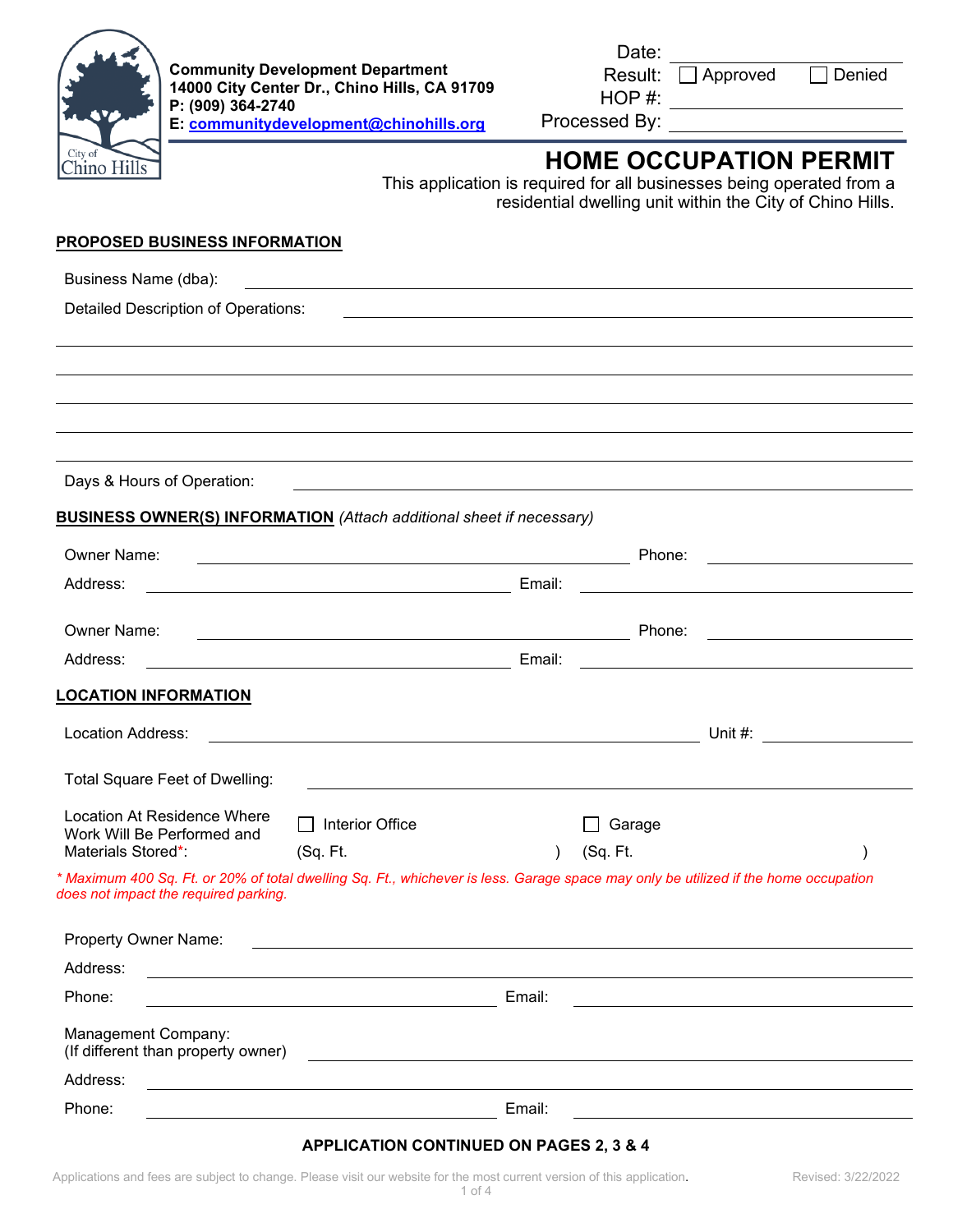

HOP #:

Result: Approved Denied

Processed By:

# **HOME OCCUPATION PERMIT**

This application is required for all businesses being operated from a residential dwelling unit within the City of Chino Hills.

#### **PROPOSED BUSINESS INFORMATION**

| Business Name (dba):                                                                                                                                                         | <u> 1980 - Jan Samuel Barbara, martin de la contenta de la contenta de la contenta de la contenta de la contenta</u>   |        |          |                                                                                                                                                                                                                                                                                                                       |
|------------------------------------------------------------------------------------------------------------------------------------------------------------------------------|------------------------------------------------------------------------------------------------------------------------|--------|----------|-----------------------------------------------------------------------------------------------------------------------------------------------------------------------------------------------------------------------------------------------------------------------------------------------------------------------|
| Detailed Description of Operations:                                                                                                                                          |                                                                                                                        |        |          |                                                                                                                                                                                                                                                                                                                       |
|                                                                                                                                                                              |                                                                                                                        |        |          |                                                                                                                                                                                                                                                                                                                       |
|                                                                                                                                                                              |                                                                                                                        |        |          |                                                                                                                                                                                                                                                                                                                       |
|                                                                                                                                                                              |                                                                                                                        |        |          |                                                                                                                                                                                                                                                                                                                       |
|                                                                                                                                                                              | ,我们也不会有什么。""我们的人,我们也不会有什么?""我们的人,我们也不会有什么?""我们的人,我们也不会有什么?""我们的人,我们也不会有什么?""我们的人                                       |        |          |                                                                                                                                                                                                                                                                                                                       |
| Days & Hours of Operation:                                                                                                                                                   |                                                                                                                        |        |          |                                                                                                                                                                                                                                                                                                                       |
| <b>BUSINESS OWNER(S) INFORMATION</b> (Attach additional sheet if necessary)                                                                                                  |                                                                                                                        |        |          |                                                                                                                                                                                                                                                                                                                       |
| Owner Name:                                                                                                                                                                  |                                                                                                                        |        | Phone:   |                                                                                                                                                                                                                                                                                                                       |
| Address:                                                                                                                                                                     | <u> 1989 - Johann Stoff, deutscher Stoffen und der Stoffen und der Stoffen und der Stoffen und der Stoffen und der</u> | Email: |          | <u>and the contract of the contract of the contract of</u>                                                                                                                                                                                                                                                            |
|                                                                                                                                                                              | <u> 1989 - Johann Barnett, fransk politiker (</u>                                                                      |        |          |                                                                                                                                                                                                                                                                                                                       |
| <b>Owner Name:</b>                                                                                                                                                           | <u> 2008 - Andrea Station Barbara, amerikan personal di sebagai personal di sebagai personal di sebagai personal</u>   |        | Phone:   | <u>and the community of the community of the community of the community of the community of the community of the community of the community of the community of the community of the community of the community of the community</u>                                                                                  |
| Address:                                                                                                                                                                     | <u> 1989 - Johann Barn, mars eta bainar eta baina eta baina eta baina eta baina eta baina eta baina eta baina e</u>    | Email: |          |                                                                                                                                                                                                                                                                                                                       |
| <b>LOCATION INFORMATION</b>                                                                                                                                                  |                                                                                                                        |        |          |                                                                                                                                                                                                                                                                                                                       |
| Location Address:                                                                                                                                                            |                                                                                                                        |        |          | Unit #: $\frac{1}{2}$ $\frac{1}{2}$ $\frac{1}{2}$ $\frac{1}{2}$ $\frac{1}{2}$ $\frac{1}{2}$ $\frac{1}{2}$ $\frac{1}{2}$ $\frac{1}{2}$ $\frac{1}{2}$ $\frac{1}{2}$ $\frac{1}{2}$ $\frac{1}{2}$ $\frac{1}{2}$ $\frac{1}{2}$ $\frac{1}{2}$ $\frac{1}{2}$ $\frac{1}{2}$ $\frac{1}{2}$ $\frac{1}{2}$ $\frac{1}{2}$ $\frac$ |
| Total Square Feet of Dwelling:                                                                                                                                               | <u> 1989 - Johann Stein, marwolaethau a bhann an t-Amhain an t-Amhain an t-Amhain an t-Amhain an t-Amhain an t-A</u>   |        |          |                                                                                                                                                                                                                                                                                                                       |
| <b>Location At Residence Where</b><br>Work Will Be Performed and                                                                                                             | Interior Office                                                                                                        |        | Garage   |                                                                                                                                                                                                                                                                                                                       |
| Materials Stored*:                                                                                                                                                           | (Sq. Ft.                                                                                                               |        | (Sq. Ft. |                                                                                                                                                                                                                                                                                                                       |
| * Maximum 400 Sq. Ft. or 20% of total dwelling Sq. Ft., whichever is less. Garage space may only be utilized if the home occupation<br>does not impact the required parking. |                                                                                                                        |        |          |                                                                                                                                                                                                                                                                                                                       |
|                                                                                                                                                                              |                                                                                                                        |        |          |                                                                                                                                                                                                                                                                                                                       |
| <b>Property Owner Name:</b>                                                                                                                                                  |                                                                                                                        |        |          |                                                                                                                                                                                                                                                                                                                       |
| Address:                                                                                                                                                                     |                                                                                                                        |        |          |                                                                                                                                                                                                                                                                                                                       |
| Phone:                                                                                                                                                                       |                                                                                                                        | Email: |          |                                                                                                                                                                                                                                                                                                                       |
| Management Company:<br>(If different than property owner)                                                                                                                    |                                                                                                                        |        |          |                                                                                                                                                                                                                                                                                                                       |
| Address:                                                                                                                                                                     |                                                                                                                        |        |          |                                                                                                                                                                                                                                                                                                                       |
| Phone:                                                                                                                                                                       |                                                                                                                        | Email: |          |                                                                                                                                                                                                                                                                                                                       |

### **APPLICATION CONTINUED ON PAGES 2, 3 & 4**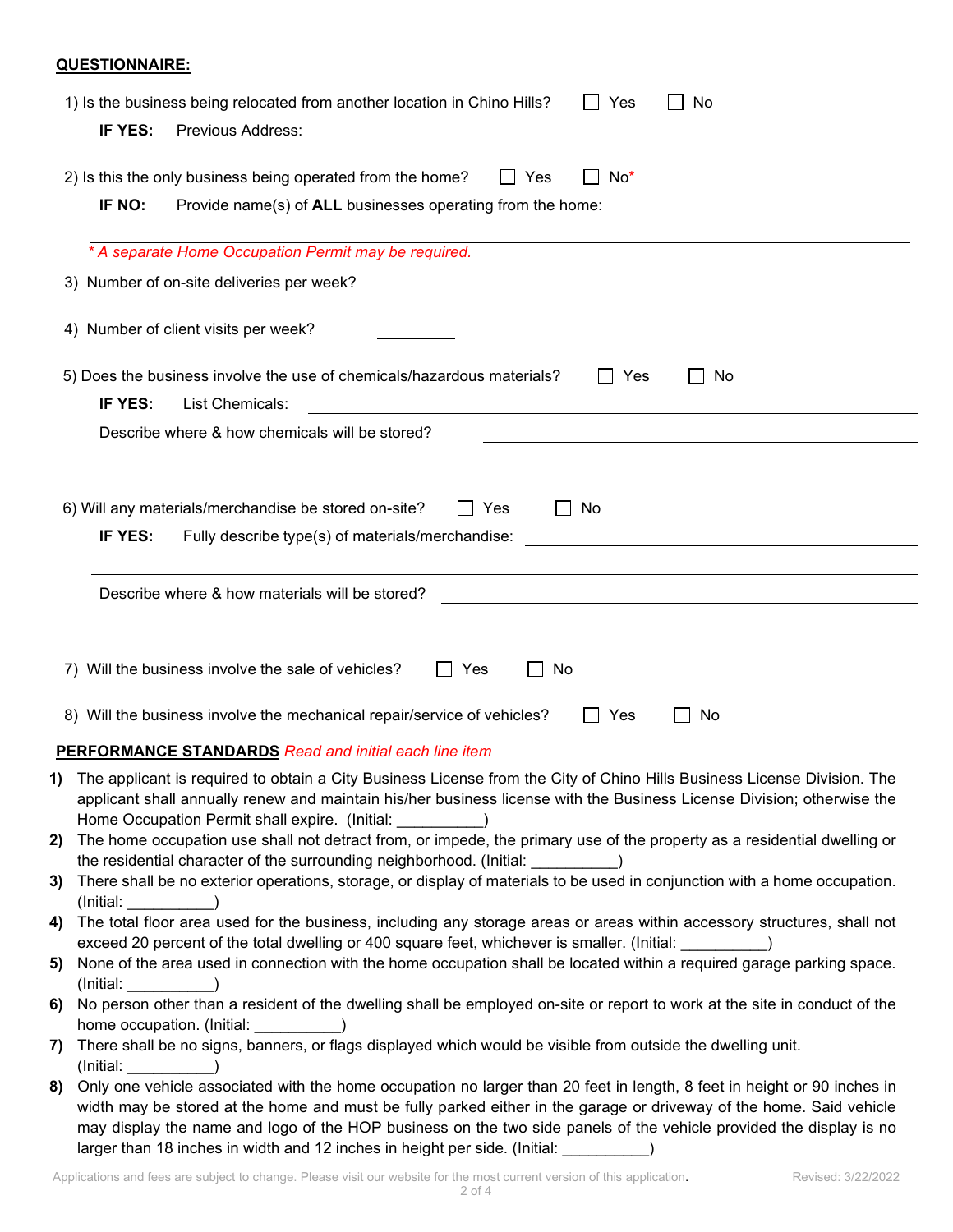## **QUESTIONNAIRE:**

|     | 1) Is the business being relocated from another location in Chino Hills?<br>Yes<br>No<br>IF YES:<br>Previous Address:                                                                                                                                                                                                                                                                                                                              |
|-----|----------------------------------------------------------------------------------------------------------------------------------------------------------------------------------------------------------------------------------------------------------------------------------------------------------------------------------------------------------------------------------------------------------------------------------------------------|
|     | 2) Is this the only business being operated from the home?<br>Yes<br>No*<br>$\mathbf{I}$<br>IF NO:<br>Provide name(s) of ALL businesses operating from the home:                                                                                                                                                                                                                                                                                   |
|     | * A separate Home Occupation Permit may be required.                                                                                                                                                                                                                                                                                                                                                                                               |
|     | 3) Number of on-site deliveries per week?                                                                                                                                                                                                                                                                                                                                                                                                          |
|     | 4) Number of client visits per week?                                                                                                                                                                                                                                                                                                                                                                                                               |
|     | 5) Does the business involve the use of chemicals/hazardous materials?<br>$\Box$ Yes<br>No.<br>IF YES:<br>List Chemicals:<br><u> 1980 - Johann John Stein, markin fizik eta idazlearia (h. 1980).</u>                                                                                                                                                                                                                                              |
|     | Describe where & how chemicals will be stored?                                                                                                                                                                                                                                                                                                                                                                                                     |
|     |                                                                                                                                                                                                                                                                                                                                                                                                                                                    |
|     | 6) Will any materials/merchandise be stored on-site?<br>Yes<br>$\Box$ No<br>IF YES:<br>Fully describe type(s) of materials/merchandise:                                                                                                                                                                                                                                                                                                            |
|     |                                                                                                                                                                                                                                                                                                                                                                                                                                                    |
|     | Describe where & how materials will be stored?                                                                                                                                                                                                                                                                                                                                                                                                     |
|     | 7) Will the business involve the sale of vehicles?<br>No<br>Yes<br>8) Will the business involve the mechanical repair/service of vehicles?<br>Yes<br>No<br><b>PERFORMANCE STANDARDS</b> Read and initial each line item                                                                                                                                                                                                                            |
|     | <b>1)</b> The applicant is required to obtain a City Business License from the City of Chino Hills Business License Division. The<br>applicant shall annually renew and maintain his/her business license with the Business License Division; otherwise the                                                                                                                                                                                        |
|     | 2) The home occupation use shall not detract from, or impede, the primary use of the property as a residential dwelling or                                                                                                                                                                                                                                                                                                                         |
|     | the residential character of the surrounding neighborhood. (Initial:<br>3) There shall be no exterior operations, storage, or display of materials to be used in conjunction with a home occupation.<br>(Initial: www.community.community.community.community.community.community.community.com                                                                                                                                                    |
|     | 4) The total floor area used for the business, including any storage areas or areas within accessory structures, shall not<br>exceed 20 percent of the total dwelling or 400 square feet, whichever is smaller. (Initial:                                                                                                                                                                                                                          |
| 5)  | None of the area used in connection with the home occupation shall be located within a required garage parking space.                                                                                                                                                                                                                                                                                                                              |
| 6)  | (Initial:<br>No person other than a resident of the dwelling shall be employed on-site or report to work at the site in conduct of the<br>home occupation. (Initial: )                                                                                                                                                                                                                                                                             |
| 7). | There shall be no signs, banners, or flags displayed which would be visible from outside the dwelling unit.<br>(Initial:                                                                                                                                                                                                                                                                                                                           |
| 8)  | Only one vehicle associated with the home occupation no larger than 20 feet in length, 8 feet in height or 90 inches in<br>width may be stored at the home and must be fully parked either in the garage or driveway of the home. Said vehicle<br>may display the name and logo of the HOP business on the two side panels of the vehicle provided the display is no<br>larger than 18 inches in width and 12 inches in height per side. (Initial: |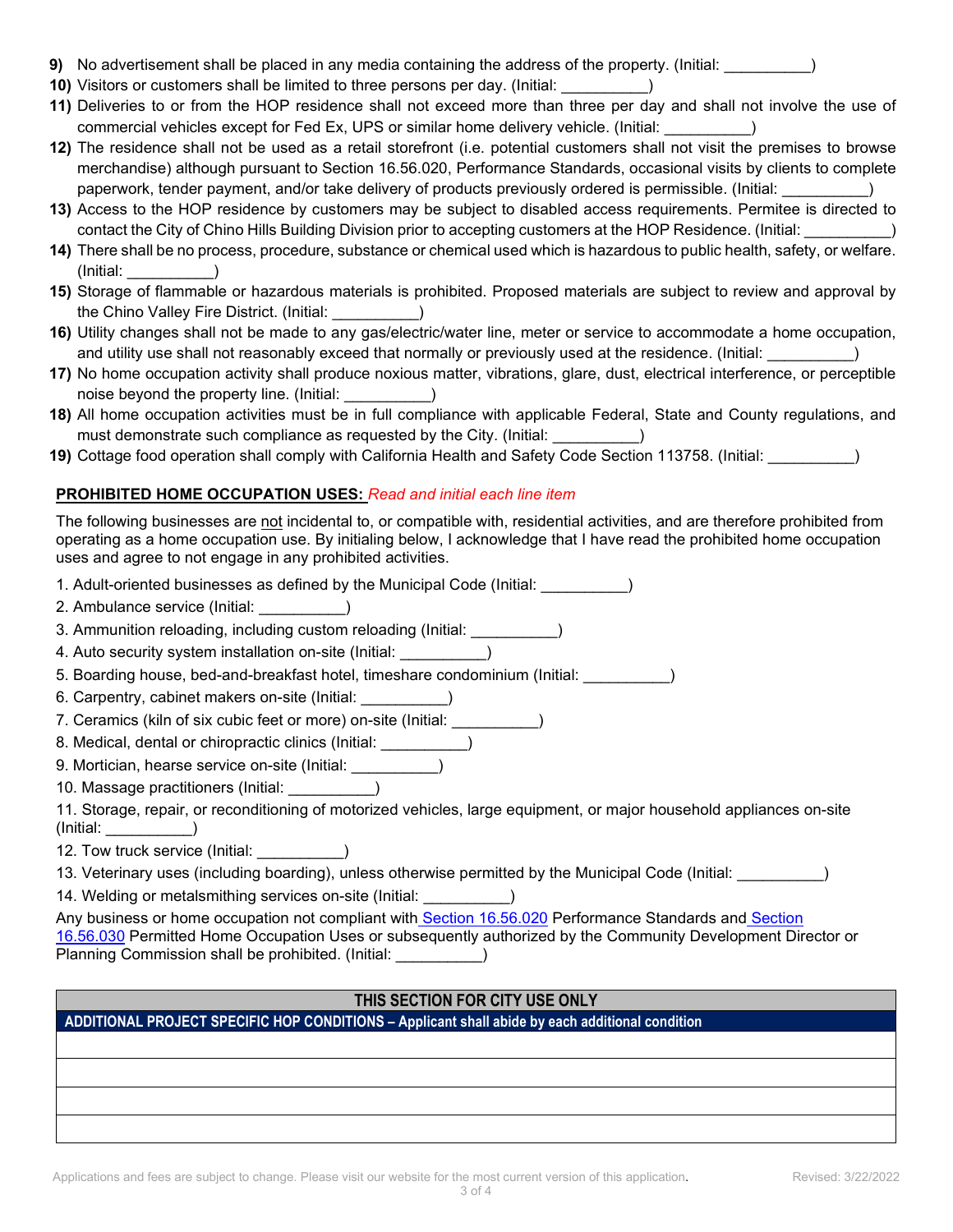- **9)** No advertisement shall be placed in any media containing the address of the property. (Initial: \_\_\_\_\_\_\_\_\_\_)
- **10)** Visitors or customers shall be limited to three persons per day. (Initial: \_\_\_\_\_\_\_\_\_\_)
- **11)** Deliveries to or from the HOP residence shall not exceed more than three per day and shall not involve the use of commercial vehicles except for Fed Ex, UPS or similar home delivery vehicle. (Initial: \_\_\_\_\_\_\_\_\_\_)
- **12)** The residence shall not be used as a retail storefront (i.e. potential customers shall not visit the premises to browse merchandise) although pursuant to Section 16.56.020, Performance Standards, occasional visits by clients to complete paperwork, tender payment, and/or take delivery of products previously ordered is permissible. (Initial: \_\_\_\_\_\_\_\_\_\_)
- **13)** Access to the HOP residence by customers may be subject to disabled access requirements. Permitee is directed to contact the City of Chino Hills Building Division prior to accepting customers at the HOP Residence. (Initial: \_\_\_\_\_\_\_\_\_\_)
- **14)** There shall be no process, procedure, substance or chemical used which is hazardous to public health, safety, or welfare. (Initial: \_\_\_\_\_\_\_\_\_\_)
- **15)** Storage of flammable or hazardous materials is prohibited. Proposed materials are subject to review and approval by the Chino Valley Fire District. (Initial: \_\_\_\_\_\_\_\_\_\_)
- **16)** Utility changes shall not be made to any gas/electric/water line, meter or service to accommodate a home occupation, and utility use shall not reasonably exceed that normally or previously used at the residence. (Initial:  $\qquad \qquad$ )
- **17)** No home occupation activity shall produce noxious matter, vibrations, glare, dust, electrical interference, or perceptible noise beyond the property line. (Initial:  $\qquad \qquad$ )
- **18)** All home occupation activities must be in full compliance with applicable Federal, State and County regulations, and must demonstrate such compliance as requested by the City. (Initial:  $\qquad \qquad$ )
- **19)** Cottage food operation shall comply with California Health and Safety Code Section 113758. (Initial: \_\_\_\_\_\_\_\_\_\_)

## **PROHIBITED HOME OCCUPATION USES:** *Read and initial each line item*

The following businesses are not incidental to, or compatible with, residential activities, and are therefore prohibited from operating as a home occupation use. By initialing below, I acknowledge that I have read the prohibited home occupation uses and agree to not engage in any prohibited activities.

1. Adult-oriented businesses as defined by the Municipal Code (Initial: \_\_\_\_\_\_\_\_\_\_)

- 2. Ambulance service (Initial: \_\_\_\_\_\_\_\_\_\_)
- 3. Ammunition reloading, including custom reloading (Initial:  $\qquad \qquad$ )
- 4. Auto security system installation on-site (Initial:
- 5. Boarding house, bed-and-breakfast hotel, timeshare condominium (Initial: \_\_\_\_\_\_\_\_\_\_)
- 6. Carpentry, cabinet makers on-site (Initial: \_\_\_\_\_\_\_\_\_\_)
- 7. Ceramics (kiln of six cubic feet or more) on-site (Initial:  $\qquad \qquad$  )
- 8. Medical, dental or chiropractic clinics (Initial: \_\_\_\_\_\_\_\_\_\_)
- 9. Mortician, hearse service on-site (Initial:
- 10. Massage practitioners (Initial: \_\_\_\_\_\_\_\_\_\_)

11. Storage, repair, or reconditioning of motorized vehicles, large equipment, or major household appliances on-site (Initial: \_\_\_\_\_\_\_\_\_\_)

- 12. Tow truck service (Initial:  $\qquad \qquad$ )
- 13. Veterinary uses (including boarding), unless otherwise permitted by the Municipal Code (Initial: \_\_\_\_\_\_\_\_\_\_)
- 14. Welding or metalsmithing services on-site (Initial: \_\_\_\_\_\_\_\_\_\_)

Any business or home occupation not compliant with [Section 16.56.020](https://library.municode.com/ca/chino_hills/codes/code_of_ordinances?nodeId=TIT16DECO_CH16.56HOOCPE_16.56.020PEST) Performance Standards and Section [16.56.030](https://library.municode.com/ca/chino_hills/codes/code_of_ordinances?nodeId=TIT16DECO_CH16.56HOOCPE_16.56.030PEHOOCUS) Permitted Home Occupation Uses or subsequently authorized by the Community Development Director or Planning Commission shall be prohibited. (Initial:  $\qquad \qquad$  )

## **THIS SECTION FOR CITY USE ONLY**

**ADDITIONAL PROJECT SPECIFIC HOP CONDITIONS – Applicant shall abide by each additional condition**